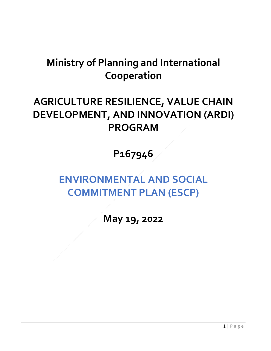# **Ministry of Planning and International Cooperation**

## **AGRICULTURE RESILIENCE, VALUE CHAIN DEVELOPMENT, AND INNOVATION (ARDI) PROGRAM**

### **P167946**

# **ENVIRONMENTAL AND SOCIAL COMMITMENT PLAN (ESCP)**

**May 19, 2022**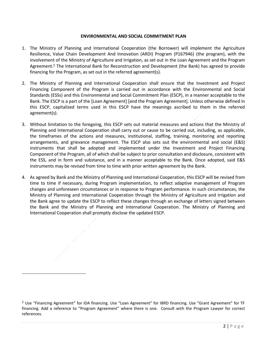#### **ENVIRONMENTAL AND SOCIAL COMMITMENT PLAN**

- 1. The Ministry of Planning and International Cooperation (the Borrower) will implement the Agriculture Resilience, Value Chain Development And Innovation (ARDI) Program (P167946) (the program), with the involvement of the Ministry of Agriculture and Irrigation, as set out in the Loan Agreement and the Program Agreement.<sup>1</sup> The International Bank for Reconstruction and Development (the Bank) has agreed to provide financing for the Program, as set out in the referred agreement(s).
- 2. The Ministry of Planning and International Cooperation shall ensure that the Investment and Project Financing Component of the Program is carried out in accordance with the Environmental and Social Standards (ESSs) and this Environmental and Social Commitment Plan (ESCP), in a manner acceptable to the Bank. The ESCP is a part of the [Loan Agreement] [and the Program Agreement]. Unless otherwise defined in this ESCP, capitalized terms used in this ESCP have the meanings ascribed to them in the referred agreement(s).
- 3. Without limitation to the foregoing, this ESCP sets out material measures and actions that the Ministry of Planning and International Cooperation shall carry out or cause to be carried out, including, as applicable, the timeframes of the actions and measures, institutional, staffing, training, monitoring and reporting arrangements, and grievance management. The ESCP also sets out the environmental and social (E&S) instruments that shall be adopted and implemented under the Investment and Project Financing Component of the Program, all of which shall be subject to prior consultation and disclosure, consistent with the ESS, and in form and substance, and in a manner acceptable to the Bank. Once adopted, said E&S instruments may be revised from time to time with prior written agreement by the Bank.
- 4. As agreed by Bank and the Ministry of Planning and International Cooperation, this ESCP will be revised from time to time if necessary, during Program implementation, to reflect adaptive management of Program changes and unforeseen circumstances or in response to Program performance. In such circumstances, the Ministry of Planning and International Cooperation through the Ministry of Agriculture and Irrigation and the Bank agree to update the ESCP to reflect these changes through an exchange of letters signed between the Bank and the Ministry of Planning and International Cooperation. The Ministry of Planning and International Cooperation shall promptly disclose the updated ESCP.

 $\overline{a}$ 

 $1$  Use "Financing Agreement" for IDA financing. Use "Loan Agreement" for IBRD financing. Use "Grant Agreement" for TF financing. Add a reference to "Program Agreement" where there is one. Consult with the Program Lawyer for correct references.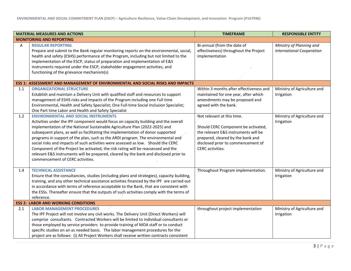| <b>MATERIAL MEASURES AND ACTIONS</b> |                                                                                                                                                                                                                                                                                                                                                                                                                                                                                                                                                                                                                                                                                                 | <b>TIMEFRAME</b>                                                                                                                                                                                         | <b>RESPONSIBLE ENTITY</b>                                    |  |  |
|--------------------------------------|-------------------------------------------------------------------------------------------------------------------------------------------------------------------------------------------------------------------------------------------------------------------------------------------------------------------------------------------------------------------------------------------------------------------------------------------------------------------------------------------------------------------------------------------------------------------------------------------------------------------------------------------------------------------------------------------------|----------------------------------------------------------------------------------------------------------------------------------------------------------------------------------------------------------|--------------------------------------------------------------|--|--|
| <b>MONITORING AND REPORTING</b>      |                                                                                                                                                                                                                                                                                                                                                                                                                                                                                                                                                                                                                                                                                                 |                                                                                                                                                                                                          |                                                              |  |  |
| A                                    | <b>REGULAR REPORTING</b><br>Prepare and submit to the Bank regular monitoring reports on the environmental, social,<br>health and safety (ESHS) performance of the Program, including but not limited to the<br>implementation of the ESCP, status of preparation and implementation of E&S<br>instruments required under the ESCP, stakeholder engagement activities, and<br>functioning of the grievance mechanism(s)                                                                                                                                                                                                                                                                         | Bi-annual (from the date of<br>effectiveness) throughout the Project<br>implementation                                                                                                                   | Ministry of Planning and<br><b>International Cooperation</b> |  |  |
|                                      | ESS 1: ASSESSMENT AND MANAGEMENT OF ENVIRONMENTAL AND SOCIAL RISKS AND IMPACTS                                                                                                                                                                                                                                                                                                                                                                                                                                                                                                                                                                                                                  |                                                                                                                                                                                                          |                                                              |  |  |
| 1.1                                  | <b>ORGANIZATIONAL STRUCTURE</b><br>Establish and maintain a Delivery Unit with qualified staff and resources to support<br>management of ESHS risks and impacts of the Program including one Full time<br>Environmental, Health and Safety Specialist; One Full-time Social Inclusion Specialist;<br>One Part time Labor and Health and Safety Specialist                                                                                                                                                                                                                                                                                                                                       | Within 3 months after effectiveness and<br>maintained for one year, after which<br>amendments may be proposed and<br>agreed with the bank.                                                               | Ministry of Agriculture and<br>Irrigation                    |  |  |
| 1.2                                  | <b>ENVIRONMENTAL AND SOCIAL INSTRUMENTS</b><br>Activities under the IPF component would focus on capacity building and the overall<br>implementation of the National Sustainable Agriculture Plan (2022-2025) and<br>subsequent plans, as well as facilitating the implementation of donor supported<br>programs in support of the plan, such as the ARDI program. The environmental and<br>social risks and impacts of such activities were assessed as low. Should the CERC<br>Component of the Project be activated, the risk rating will be reassessed and the<br>relevant E&S instruments will be prepared, cleared by the bank and disclosed prior to<br>commencement of CERC activities. | Not relevant at this time.<br>Should CERC Component be activated,<br>the relevant E&S instruments will be<br>prepared, cleared by the bank and<br>disclosed prior to commencement of<br>CERC activities. | Ministry of Agriculture and<br>Irrigation                    |  |  |
| 1.4                                  | <b>TECHNICAL ASSISTANCE</b><br>Ensure that the consultancies, studies (including plans and strategies), capacity building,<br>training, and any other technical assistance activities financed by the IPF are carried out<br>in accordance with terms of reference acceptable to the Bank, that are consistent with<br>the ESSs. Thereafter ensure that the outputs of such activities comply with the terms of<br>reference.                                                                                                                                                                                                                                                                   | Throughout Program implementation.                                                                                                                                                                       | Ministry of Agriculture and<br>Irrigation                    |  |  |
|                                      | <b>ESS 2: LABOR AND WORKING CONDITIONS</b>                                                                                                                                                                                                                                                                                                                                                                                                                                                                                                                                                                                                                                                      |                                                                                                                                                                                                          |                                                              |  |  |
| 2.1                                  | <b>LABOR MANAGEMENT PROCEDURES</b><br>The IPF Project will not involve any civil works. The Delivery Unit (Direct Workers) will<br>comprise consultants. Contracted Workers will be limited to individual consultants or<br>those employed by service providers to provide training of MOA staff or to conduct<br>specific studies on an as needed basis. The labor management procedures for the<br>project are as follows: (i) All Project Workers shall receive written contracts consistent                                                                                                                                                                                                 | throughout project implementation                                                                                                                                                                        | Ministry of Agriculture and<br>Irrigation                    |  |  |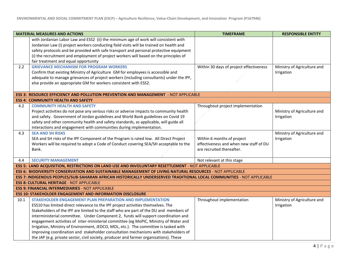| <b>MATERIAL MEASURES AND ACTIONS</b>                             |                                                                                                                       | <b>TIMEFRAME</b>                        | <b>RESPONSIBLE ENTITY</b>   |  |  |  |
|------------------------------------------------------------------|-----------------------------------------------------------------------------------------------------------------------|-----------------------------------------|-----------------------------|--|--|--|
|                                                                  | with Jordanian Labor Law and ESS2 (ii) the minimum age of work will consistent with                                   |                                         |                             |  |  |  |
|                                                                  | Jordanian Law (i) project workers conducting field visits will be trained on health and                               |                                         |                             |  |  |  |
|                                                                  | safety protocols and be provided with safe transport and personal protective equipment                                |                                         |                             |  |  |  |
|                                                                  | (i) the recruitment and employment of project workers will based on the principles of                                 |                                         |                             |  |  |  |
|                                                                  | fair treatment and equal opportunity                                                                                  |                                         |                             |  |  |  |
| 2.2                                                              | <b>GRIEVANCE MECHANISM FOR PROGRAM WORKERS</b>                                                                        | Within 30 days of project effectiveness | Ministry of Agriculture and |  |  |  |
|                                                                  | Confirm that existing Ministry of Agriculture GM for employees is accessible and                                      |                                         | Irrigation                  |  |  |  |
|                                                                  | adequate to manage grievances of project workers (including consultants) under the IPF,                               |                                         |                             |  |  |  |
|                                                                  | else provide an appropriate GM for workers consistent with ESS2.                                                      |                                         |                             |  |  |  |
|                                                                  |                                                                                                                       |                                         |                             |  |  |  |
|                                                                  | <b>ESS 3: RESOURCE EFFICIENCY AND POLLUTION PREVENTION AND MANAGEMENT</b> - NOT APPLICABLE                            |                                         |                             |  |  |  |
|                                                                  | <b>ESS 4: COMMUNITY HEALTH AND SAFETY</b>                                                                             |                                         |                             |  |  |  |
| 4.2                                                              | <b>COMMUNITY HEALTH AND SAFETY</b>                                                                                    | Throughout project implementation       |                             |  |  |  |
|                                                                  | Project activities do not pose any serious risks or adverse impacts to community health                               |                                         | Ministry of Agriculture and |  |  |  |
|                                                                  | and safety. Government of Jordan guidelines and World Bank guidelines on Covid 19                                     |                                         | Irrigation                  |  |  |  |
|                                                                  | safety and other community health and safety standards, as applicable, will guide all                                 |                                         |                             |  |  |  |
|                                                                  | interactions and engagement with communities during implementation.                                                   |                                         |                             |  |  |  |
| 4.3                                                              | <b>SEA AND SH RISKS</b>                                                                                               |                                         | Ministry of Agriculture and |  |  |  |
|                                                                  | SEA and SH risks of the IPF Component of the Program is rated low. All Direct Project                                 | Within 6 months of project              | Irrigation                  |  |  |  |
|                                                                  | Workers will be required to adopt a Code of Conduct covering SEA/SH acceptable to the                                 | effectiveness and when new staff of DU  |                             |  |  |  |
|                                                                  | Bank.                                                                                                                 | are recruited thereafter.               |                             |  |  |  |
|                                                                  |                                                                                                                       |                                         |                             |  |  |  |
| 4.4                                                              | <b>SECURITY MANAGEMENT</b>                                                                                            | Not relevant at this stage              |                             |  |  |  |
|                                                                  | ESS 5: LAND ACQUISITION, RESTRICTIONS ON LAND USE AND INVOLUNTARY RESETTLEMENT - NOT APPLICABLE                       |                                         |                             |  |  |  |
|                                                                  | ESS 6: BIODIVERSITY CONSERVATION AND SUSTAINABLE MANAGEMENT OF LIVING NATURAL RESOURCES - NOT APPLICABLE              |                                         |                             |  |  |  |
|                                                                  | ESS 7: INDIGENOUS PEOPLES/SUB-SAHARAN AFRICAN HISTORICALLY UNDERSERVED TRADITIONAL LOCAL COMMUNITIES - NOT APPLICABLE |                                         |                             |  |  |  |
|                                                                  | <b>ESS 8: CULTURAL HERITAGE - NOT APPLICABLE</b>                                                                      |                                         |                             |  |  |  |
| <b>ESS 9: FINANCIAL INTERMEDIARIES - NOT APPLICABLE</b>          |                                                                                                                       |                                         |                             |  |  |  |
| <b>ESS 10: STAKEHOLDER ENGAGEMENT AND INFORMATION DISCLOSURE</b> |                                                                                                                       |                                         |                             |  |  |  |
| 10.1                                                             | STAKEHOLDER ENGAGEMENT PLAN PREPARATION AND IMPLEMENTATION                                                            | Throughout implementation               | Ministry of Agriculture and |  |  |  |
|                                                                  | ESS10 has limited direct relevance to the IPF project activities themselves. The                                      |                                         | Irrigation                  |  |  |  |
|                                                                  | Stakeholders of the IPF are limited to the staff who are part of the DU and members of                                |                                         |                             |  |  |  |
|                                                                  | interministerial committee. Under Component 2, funds will support coordination and                                    |                                         |                             |  |  |  |
|                                                                  | engagement activities of inter-ministerial committee (eg MoPIC, Ministry of Water and                                 |                                         |                             |  |  |  |
|                                                                  | Irrigation, Ministry of Environment, JEDCO, MOL, etc.). The committee is tasked with                                  |                                         |                             |  |  |  |
|                                                                  | improving coordination and stakeholder consultation mechanisms with stakeholders of                                   |                                         |                             |  |  |  |
|                                                                  | the JAP (e.g. private sector, civil society, producer and farmer organizations). These                                |                                         |                             |  |  |  |